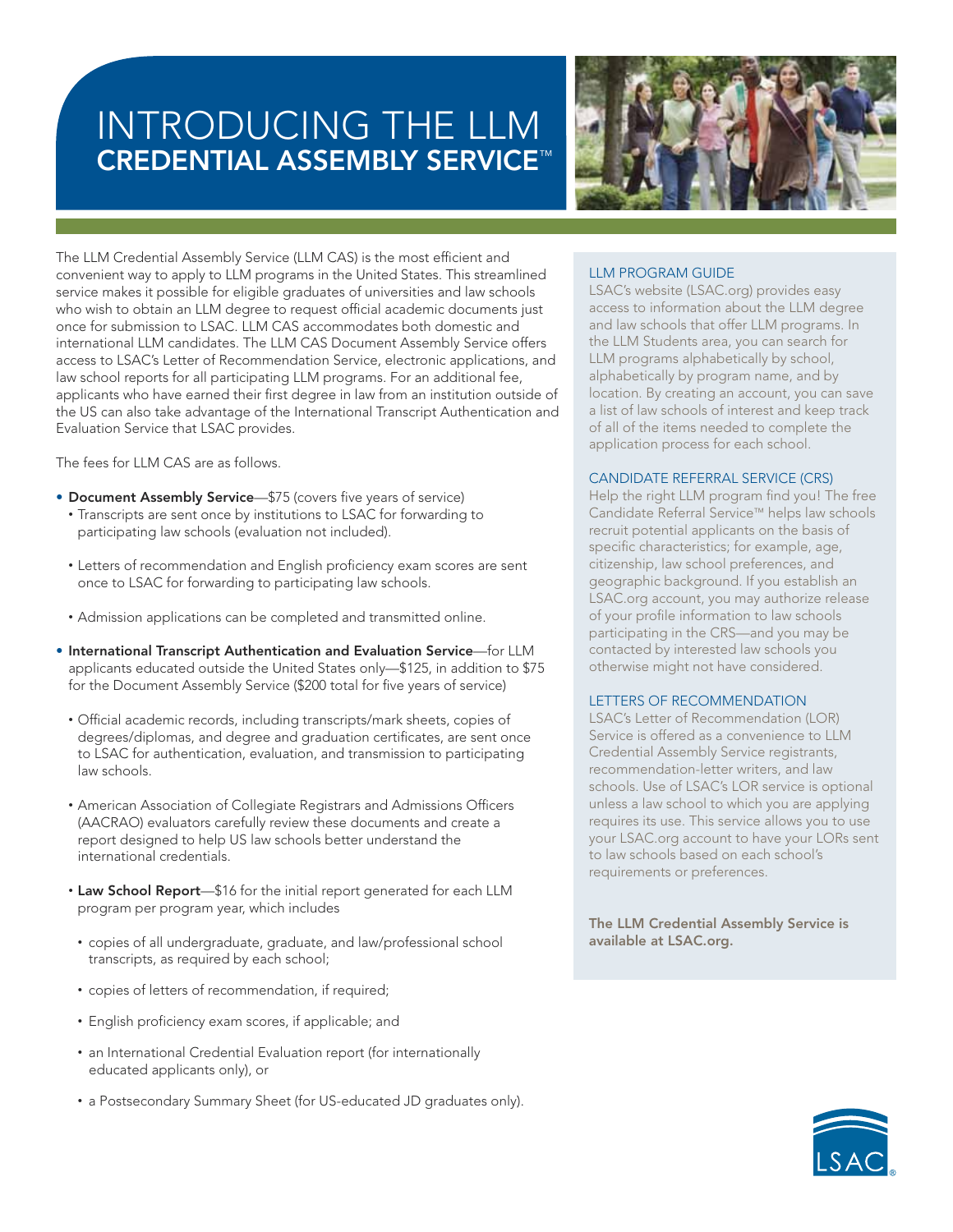# INTRODUCING THE LLM **CREDENTIAL ASSEMBLY SERVICE**™



The LLM Credential Assembly Service (LLM CAS) is the most efficient and convenient way to apply to LLM programs in the United States. This streamlined service makes it possible for eligible graduates of universities and law schools who wish to obtain an LLM degree to request official academic documents just once for submission to LSAC. LLM CAS accommodates both domestic and international LLM candidates. The LLM CAS Document Assembly Service offers access to LSAC's Letter of Recommendation Service, electronic applications, and law school reports for all participating LLM programs. For an additional fee, applicants who have earned their first degree in law from an institution outside of the US can also take advantage of the International Transcript Authentication and Evaluation Service that LSAC provides.

The fees for LLM CAS are as follows.

- **Document Assembly Service**—\$75 (covers five years of service) • Transcripts are sent once by institutions to LSAC for forwarding to participating law schools (evaluation not included).
- Letters of recommendation and English proficiency exam scores are sent once to LSAC for forwarding to participating law schools.
- Admission applications can be completed and transmitted online.
- **International Transcript Authentication and Evaluation Service**—for LLM applicants educated outside the United States only—\$125, in addition to \$75 for the Document Assembly Service (\$200 total for five years of service)
	- Official academic records, including transcripts/mark sheets, copies of degrees/diplomas, and degree and graduation certificates, are sent once to LSAC for authentication, evaluation, and transmission to participating law schools.
	- American Association of Collegiate Registrars and Admissions Officers (AACRAO) evaluators carefully review these documents and create a report designed to help US law schools better understand the international credentials.
	- **Law School Report**—\$16 for the initial report generated for each LLM program per program year, which includes
	- $\bullet$  copies of all undergraduate, graduate, and law/professional school transcripts, as required by each school;
	- copies of letters of recommendation, if required;
	- English proficiency exam scores, if applicable; and
	- an International Credential Evaluation report (for internationally educated applicants only), or
	- a Postsecondary Summary Sheet (for US-educated JD graduates only).

## LLM PROGRAM GUIDE

LSAC's website (LSAC.org) provides easy access to information about the LLM degree and law schools that offer LLM programs. In the LLM Students area, you can search for LLM programs alphabetically by school, alphabetically by program name, and by location. By creating an account, you can save a list of law schools of interest and keep track of all of the items needed to complete the application process for each school.

## CANDIDATE REFERRAL SERVICE (CRS)

Help the right LLM program find you! The free Candidate Referral Service™ helps law schools recruit potential applicants on the basis of specific characteristics; for example, age, citizenship, law school preferences, and geographic background. If you establish an LSAC.org account, you may authorize release of your profile information to law schools participating in the CRS—and you may be contacted by interested law schools you otherwise might not have considered.

## LETTERS OF RECOMMENDATION

LSAC's Letter of Recommendation (LOR) Service is offered as a convenience to LLM Credential Assembly Service registrants, recommendation-letter writers, and law schools. Use of LSAC's LOR service is optional unless a law school to which you are applying requires its use. This service allows you to use your LSAC.org account to have your LORs sent to law schools based on each school's requirements or preferences.

**The LLM Credential Assembly Service is available at LSAC.org.**